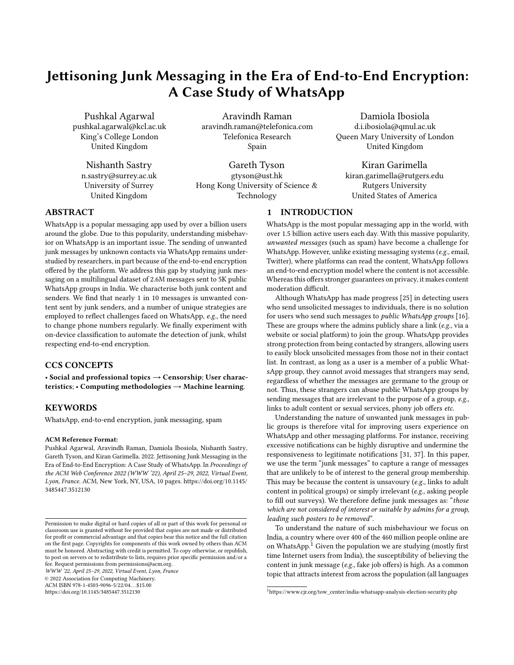# Jettisoning Junk Messaging in the Era of End-to-End Encryption: A Case Study of WhatsApp

Pushkal Agarwal pushkal.agarwal@kcl.ac.uk King's College London United Kingdom

Nishanth Sastry n.sastry@surrey.ac.uk University of Surrey United Kingdom

Aravindh Raman aravindh.raman@telefonica.com Telefonica Research Spain

Gareth Tyson gtyson@ust.hk Hong Kong University of Science & Technology

Damiola Ibosiola d.i.ibosiola@qmul.ac.uk Queen Mary University of London United Kingdom

Kiran Garimella kiran.garimella@rutgers.edu Rutgers University United States of America

# ABSTRACT

WhatsApp is a popular messaging app used by over a billion users around the globe. Due to this popularity, understanding misbehavior on WhatsApp is an important issue. The sending of unwanted junk messages by unknown contacts via WhatsApp remains understudied by researchers, in part because of the end-to-end encryption offered by the platform. We address this gap by studying junk messaging on a multilingual dataset of 2.6M messages sent to 5K public WhatsApp groups in India. We characterise both junk content and senders. We find that nearly 1 in 10 messages is unwanted content sent by junk senders, and a number of unique strategies are employed to reflect challenges faced on WhatsApp, e.g., the need to change phone numbers regularly. We finally experiment with on-device classification to automate the detection of junk, whilst respecting end-to-end encryption.

### CCS CONCEPTS

• Social and professional topics  $\rightarrow$  Censorship; User characteristics; • Computing methodologies → Machine learning.

#### **KEYWORDS**

WhatsApp, end-to-end encryption, junk messaging, spam

#### ACM Reference Format:

Pushkal Agarwal, Aravindh Raman, Damiola Ibosiola, Nishanth Sastry, Gareth Tyson, and Kiran Garimella. 2022. Jettisoning Junk Messaging in the Era of End-to-End Encryption: A Case Study of WhatsApp. In Proceedings of the ACM Web Conference 2022 (WWW '22), April 25–29, 2022, Virtual Event, Lyon, France. ACM, New York, NY, USA, [10](#page-9-0) pages. [https://doi.org/10.1145/](https://doi.org/10.1145/3485447.3512130) [3485447.3512130](https://doi.org/10.1145/3485447.3512130)

WWW '22, April 25–29, 2022, Virtual Event, Lyon, France

© 2022 Association for Computing Machinery.

ACM ISBN 978-1-4503-9096-5/22/04. . . \$15.00

<https://doi.org/10.1145/3485447.3512130>

#### 1 INTRODUCTION

WhatsApp is the most popular messaging app in the world, with over 1.5 billion active users each day. With this massive popularity, unwanted messages (such as spam) have become a challenge for WhatsApp. However, unlike existing messaging systems (e.g., email, Twitter), where platforms can read the content, WhatsApp follows an end-to-end encryption model where the content is not accessible. Whereas this offers stronger guarantees on privacy, it makes content moderation difficult.

Although WhatsApp has made progress [\[25\]](#page-8-0) in detecting users who send unsolicited messages to individuals, there is no solution for users who send such messages to public WhatsApp groups [\[16\]](#page-8-1). These are groups where the admins publicly share a link (e.g., via a website or social platform) to join the group. WhatsApp provides strong protection from being contacted by strangers, allowing users to easily block unsolicited messages from those not in their contact list. In contrast, as long as a user is a member of a public WhatsApp group, they cannot avoid messages that strangers may send, regardless of whether the messages are germane to the group or not. Thus, these strangers can abuse public WhatsApp groups by sending messages that are irrelevant to the purpose of a group, e.g., links to adult content or sexual services, phony job offers etc.

Understanding the nature of unwanted junk messages in public groups is therefore vital for improving users experience on WhatsApp and other messaging platforms. For instance, receiving excessive notifications can be highly disruptive and undermine the responsiveness to legitimate notifications [\[31,](#page-8-2) [37\]](#page-8-3). In this paper, we use the term "junk messages" to capture a range of messages that are unlikely to be of interest to the general group membership. This may be because the content is unsavoury (e.g., links to adult content in political groups) or simply irrelevant (e.g., asking people to fill out surveys). We therefore define junk messages as: "those which are not considered of interest or suitable by admins for a group, leading such posters to be removed".

To understand the nature of such misbehaviour we focus on India, a country where over 400 of the 460 million people online are on WhatsApp. $<sup>1</sup>$  $<sup>1</sup>$  $<sup>1</sup>$  Given the population we are studying (mostly first</sup> time Internet users from India), the susceptibility of believing the content in junk message (e.g., fake job offers) is high. As a common topic that attracts interest from across the population (all languages

Permission to make digital or hard copies of all or part of this work for personal or classroom use is granted without fee provided that copies are not made or distributed for profit or commercial advantage and that copies bear this notice and the full citation on the first page. Copyrights for components of this work owned by others than ACM must be honored. Abstracting with credit is permitted. To copy otherwise, or republish, to post on servers or to redistribute to lists, requires prior specific permission and/or a fee. Request permissions from permissions@acm.org.

<span id="page-0-0"></span><sup>1</sup>https://www.cjr.org/tow\_center/india-whatsapp-analysis-election-security.php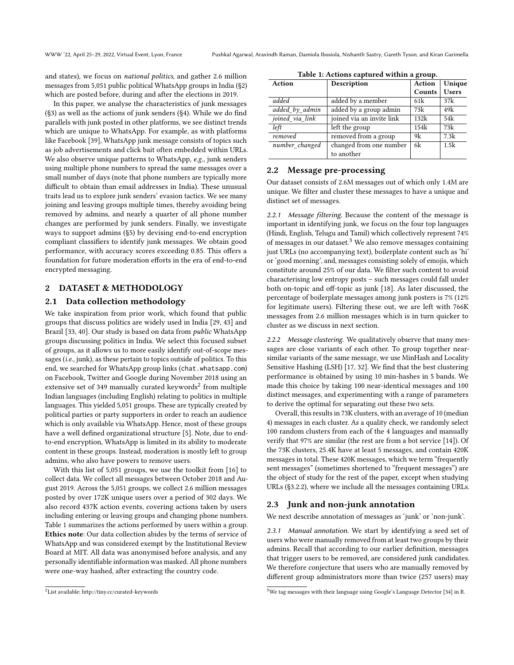and states), we focus on national politics, and gather 2.6 million messages from 5,051 public political WhatsApp groups in India ([§2\)](#page-1-0) which are posted before, during and after the elections in 2019.

In this paper, we analyse the characteristics of junk messages ([§3\)](#page-2-0) as well as the actions of junk senders ([§4\)](#page-4-0). While we do find parallels with junk posted in other platforms, we see distinct trends which are unique to WhatsApp. For example, as with platforms like Facebook [\[39\]](#page-8-4), WhatsApp junk message consists of topics such as job advertisements and click bait often embedded within URLs. We also observe unique patterns to WhatsApp, e.g., junk senders using multiple phone numbers to spread the same messages over a small number of days (note that phone numbers are typically more difficult to obtain than email addresses in India). These unusual traits lead us to explore junk senders' evasion tactics. We see many joining and leaving groups multiple times, thereby avoiding being removed by admins, and nearly a quarter of all phone number changes are performed by junk senders. Finally, we investigate ways to support admins ([§5\)](#page-6-0) by devising end-to-end encryption compliant classifiers to identify junk messages. We obtain good performance, with accuracy scores exceeding 0.85. This offers a foundation for future moderation efforts in the era of end-to-end encrypted messaging.

#### <span id="page-1-0"></span>2 DATASET & METHODOLOGY

#### 2.1 Data collection methodology

We take inspiration from prior work, which found that public groups that discuss politics are widely used in India [\[29,](#page-8-5) [43\]](#page-8-6) and Brazil [\[33,](#page-8-7) [40\]](#page-8-8). Our study is based on data from public WhatsApp groups discussing politics in India. We select this focused subset of groups, as it allows us to more easily identify out-of-scope messages (i.e., junk), as these pertain to topics outside of politics. To this end, we searched for WhatsApp group links (chat.whatsapp.com) on Facebook, Twitter and Google during November 2018 using an extensive set of 349 manually curated keywords $^2$  $^2$  from multiple Indian languages (including English) relating to politics in multiple languages. This yielded 5,051 groups. These are typically created by political parties or party supporters in order to reach an audience which is only available via WhatsApp. Hence, most of these groups have a well defined organizational structure [\[5\]](#page-8-9). Note, due to endto-end encryption, WhatsApp is limited in its ability to moderate content in these groups. Instead, moderation is mostly left to group admins, who also have powers to remove users.

With this list of 5,051 groups, we use the toolkit from [\[16\]](#page-8-1) to collect data. We collect all messages between October 2018 and August 2019. Across the 5,051 groups, we collect 2.6 million messages posted by over 172K unique users over a period of 302 days. We also record 437K action events, covering actions taken by users including entering or leaving groups and changing phone numbers. Table [1](#page-1-2) summarizes the actions performed by users within a group. Ethics note: Our data collection abides by the terms of service of WhatsApp and was considered exempt by the Institutional Review Board at MIT. All data was anonymised before analysis, and any personally identifiable information was masked. All phone numbers were one-way hashed, after extracting the country code.

| Table 1: Actions captured within a group. |  |  |  |
|-------------------------------------------|--|--|--|
|-------------------------------------------|--|--|--|

<span id="page-1-2"></span>

| Action          | Description               |        | Unique       |
|-----------------|---------------------------|--------|--------------|
|                 |                           | Counts | <b>Users</b> |
| added           | added by a member         | 61k    | 37k          |
| added by admin  | added by a group admin    | 73k    | 49k          |
| joined via link | joined via an invite link | 132k   | 54k          |
| left            | left the group            | 154k   | 73k          |
| removed         | removed from a group      | 9k     | 7.3k         |
| number_changed  | changed from one number   | 6k     | 1.5k         |
|                 | to another                |        |              |

#### <span id="page-1-4"></span>2.2 Message pre-processing

Our dataset consists of 2.6M messages out of which only 1.4M are unique. We filter and cluster these messages to have a unique and distinct set of messages.

2.2.1 Message filtering. Because the content of the message is important in identifying junk, we focus on the four top languages (Hindi, English, Telugu and Tamil) which collectively represent 74% of messages in our dataset. $3$  We also remove messages containing just URLs (no accompanying text), boilerplate content such as 'hi' or 'good morning', and, messages consisting solely of emojis, which constitute around 25% of our data. We filter such content to avoid characterising low entropy posts – such messages could fall under both on-topic and off-topic as junk [\[18\]](#page-8-10). As later discussed, the percentage of boilerplate messages among junk posters is 7% (12% for legitimate users). Filtering these out, we are left with 766K messages from 2.6 million messages which is in turn quicker to cluster as we discuss in next section.

2.2.2 Message clustering. We qualitatively observe that many messages are close variants of each other. To group together nearsimilar variants of the same message, we use MinHash and Locality Sensitive Hashing (LSH) [\[17,](#page-8-11) [32\]](#page-8-12). We find that the best clustering performance is obtained by using 10 min-hashes in 5 bands. We made this choice by taking 100 near-identical messages and 100 distinct messages, and experimenting with a range of parameters to derive the optimal for separating out these two sets.

Overall, this results in 73K clusters, with an average of 10 (median 4) messages in each cluster. As a quality check, we randomly select 100 random clusters from each of the 4 languages and manually verify that 97% are similar (the rest are from a bot service [\[14\]](#page-8-13)). Of the 73K clusters, 25.4K have at least 5 messages, and contain 420K messages in total. These 420K messages, which we term "frequently sent messages" (sometimes shortened to "frequent messages") are the object of study for the rest of the paper, except when studying URLs ([§3.2.2\)](#page-3-0), where we include all the messages containing URLs.

#### 2.3 Junk and non-junk annotation

We next describe annotation of messages as 'junk' or 'non-junk'.

2.3.1 Manual annotation. We start by identifying a seed set of users who were manually removed from at least two groups by their admins. Recall that according to our earlier definition, messages that trigger users to be removed, are considered junk candidates. We therefore conjecture that users who are manually removed by different group administrators more than twice (257 users) may

<span id="page-1-1"></span><sup>2</sup>List available:<http://tiny.cc/curated-keywords>

<span id="page-1-3"></span><sup>&</sup>lt;sup>3</sup>We tag messages with their language using Google's Language Detector [\[34\]](#page-8-14) in R.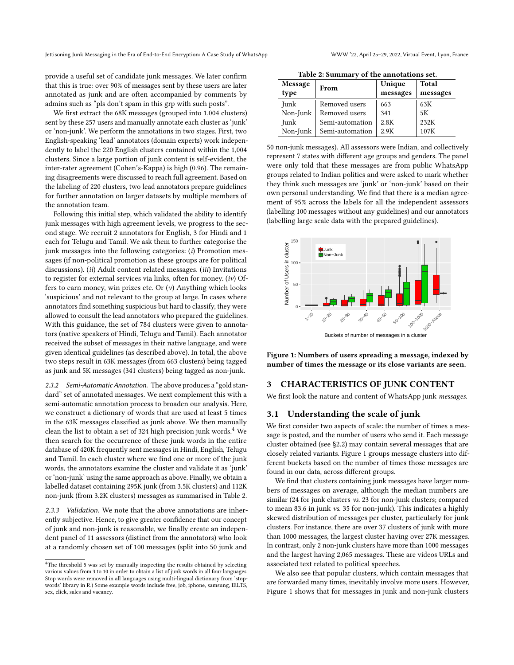provide a useful set of candidate junk messages. We later confirm that this is true: over 90% of messages sent by these users are later annotated as junk and are often accompanied by comments by admins such as "pls don't spam in this grp with such posts".

We first extract the 68K messages (grouped into 1,004 clusters) sent by these 257 users and manually annotate each cluster as 'junk' or 'non-junk'. We perform the annotations in two stages. First, two English-speaking 'lead' annotators (domain experts) work independently to label the 220 English clusters contained within the 1,004 clusters. Since a large portion of junk content is self-evident, the inter-rater agreement (Cohen's-Kappa) is high (0.96). The remaining disagreements were discussed to reach full agreement. Based on the labeling of 220 clusters, two lead annotators prepare guidelines for further annotation on larger datasets by multiple members of the annotation team.

Following this initial step, which validated the ability to identify junk messages with high agreement levels, we progress to the second stage. We recruit 2 annotators for English, 3 for Hindi and 1 each for Telugu and Tamil. We ask them to further categorise the junk messages into the following categories: (i) Promotion messages (if non-political promotion as these groups are for political discussions). (ii) Adult content related messages. (iii) Invitations to register for external services via links, often for money. (iv) Offers to earn money, win prizes etc. Or  $(v)$  Anything which looks 'suspicious' and not relevant to the group at large. In cases where annotators find something suspicious but hard to classify, they were allowed to consult the lead annotators who prepared the guidelines. With this guidance, the set of 784 clusters were given to annotators (native speakers of Hindi, Telugu and Tamil). Each annotator received the subset of messages in their native language, and were given identical guidelines (as described above). In total, the above two steps result in 63K messages (from 663 clusters) being tagged as junk and 5K messages (341 clusters) being tagged as non-junk.

2.3.2 Semi-Automatic Annotation. The above produces a "gold standard" set of annotated messages. We next complement this with a semi-automatic annotation process to broaden our analysis. Here, we construct a dictionary of words that are used at least 5 times in the 63K messages classified as junk above. We then manually clean the list to obtain a set of 32[4](#page-2-1) high precision junk words.<sup>4</sup> We then search for the occurrence of these junk words in the entire database of 420K frequently sent messages in Hindi, English, Telugu and Tamil. In each cluster where we find one or more of the junk words, the annotators examine the cluster and validate it as 'junk' or 'non-junk' using the same approach as above. Finally, we obtain a labelled dataset containing 295K junk (from 3.5K clusters) and 112K non-junk (from 3.2K clusters) messages as summarised in Table [2.](#page-2-2)

2.3.3 Validation. We note that the above annotations are inherently subjective. Hence, to give greater confidence that our concept of junk and non-junk is reasonable, we finally create an independent panel of 11 assessors (distinct from the annotators) who look at a randomly chosen set of 100 messages (split into 50 junk and

| WWW '22, April 25-29, 2022, Virtual Event, Lyon, France |  |  |  |
|---------------------------------------------------------|--|--|--|
|---------------------------------------------------------|--|--|--|

<span id="page-2-2"></span>

| Table 2: Summary of the annotations set. |                 |          |              |
|------------------------------------------|-----------------|----------|--------------|
| Message                                  | From            | Unique   | <b>Total</b> |
| type                                     |                 | messages | messages     |
| Junk                                     | Removed users   | 663      | 63K          |
| Non-Junk                                 | Removed users   | 341      | 5K           |
| Junk                                     | Semi-automation | 2.8K     | 232K         |
| Non-Junk                                 | Semi-automation | 2.9K     | 107K         |

 $T<sub>1</sub>$   $1<sub>2</sub>$   $2<sub>3</sub>$   $2<sub>4</sub>$   $2<sub>5</sub>$   $2<sub>6</sub>$   $2<sub>7</sub>$   $2<sub>8</sub>$   $2<sub>9</sub>$   $2<sub>10</sub>$   $2<sub>10</sub>$   $2<sub>10</sub>$   $2<sub>10</sub>$   $2<sub>10</sub>$ 

50 non-junk messages). All assessors were Indian, and collectively represent 7 states with different age groups and genders. The panel were only told that these messages are from public WhatsApp groups related to Indian politics and were asked to mark whether they think such messages are 'junk' or 'non-junk' based on their own personal understanding. We find that there is a median agreement of 95% across the labels for all the independent assessors (labelling 100 messages without any guidelines) and our annotators (labelling large scale data with the prepared guidelines).

<span id="page-2-3"></span>

Figure 1: Numbers of users spreading a message, indexed by number of times the message or its close variants are seen.

### <span id="page-2-0"></span>3 CHARACTERISTICS OF JUNK CONTENT

We first look the nature and content of WhatsApp junk messages.

#### 3.1 Understanding the scale of junk

We first consider two aspects of scale: the number of times a message is posted, and the number of users who send it. Each message cluster obtained (see [§2.2\)](#page-1-4) may contain several messages that are closely related variants. Figure [1](#page-2-3) groups message clusters into different buckets based on the number of times those messages are found in our data, across different groups.

We find that clusters containing junk messages have larger numbers of messages on average, although the median numbers are similar (24 for junk clusters vs. 23 for non-junk clusters; compared to mean 83.6 in junk vs. 35 for non-junk). This indicates a highly skewed distribution of messages per cluster, particularly for junk clusters. For instance, there are over 37 clusters of junk with more than 1000 messages, the largest cluster having over 27K messages. In contrast, only 2 non-junk clusters have more than 1000 messages and the largest having 2,065 messages. These are videos URLs and associated text related to political speeches.

We also see that popular clusters, which contain messages that are forwarded many times, inevitably involve more users. However, Figure [1](#page-2-3) shows that for messages in junk and non-junk clusters

<span id="page-2-1"></span><sup>&</sup>lt;sup>4</sup>The threshold 5 was set by manually inspecting the results obtained by selecting various values from 3 to 10 in order to obtain a list of junk words in all four languages. Stop words were removed in all languages using multi-lingual dictionary from 'stopwords' library in R.) Some example words include free, job, iphone, samsung, IELTS, sex, click, sales and vacancy.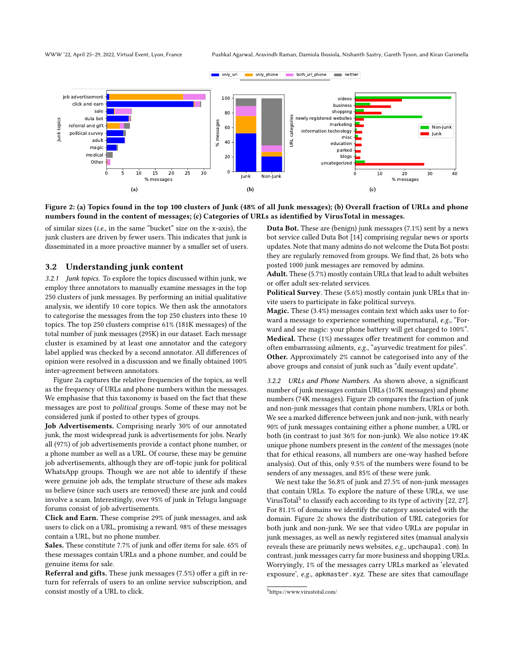<span id="page-3-1"></span>

Figure 2: (a) Topics found in the top 100 clusters of Junk (48% of all Junk messages); (b) Overall fraction of URLs and phone numbers found in the content of messages; (c) Categories of URLs as identified by VirusTotal in messages.

of similar sizes (i.e., in the same "bucket" size on the x-axis), the junk clusters are driven by fewer users. This indicates that junk is disseminated in a more proactive manner by a smaller set of users.

#### 3.2 Understanding junk content

3.2.1 Junk topics. To explore the topics discussed within junk, we employ three annotators to manually examine messages in the top 250 clusters of junk messages. By performing an initial qualitative analysis, we identify 10 core topics. We then ask the annotators to categorise the messages from the top 250 clusters into these 10 topics. The top 250 clusters comprise 61% (181K messages) of the total number of junk messages (295K) in our dataset. Each message cluster is examined by at least one annotator and the category label applied was checked by a second annotator. All differences of opinion were resolved in a discussion and we finally obtained 100% inter-agreement between annotators.

Figure [2a](#page-3-1) captures the relative frequencies of the topics, as well as the frequency of URLs and phone numbers within the messages. We emphasise that this taxonomy is based on the fact that these messages are post to political groups. Some of these may not be considered junk if posted to other types of groups.

Job Advertisements. Comprising nearly 30% of our annotated junk, the most widespread junk is advertisements for jobs. Nearly all (97%) of job advertisements provide a contact phone number, or a phone number as well as a URL. Of course, these may be genuine job advertisements, although they are off-topic junk for political WhatsApp groups. Though we are not able to identify if these were genuine job ads, the template structure of these ads makes us believe (since such users are removed) these are junk and could involve a scam. Interestingly, over 95% of junk in Telugu language forums consist of job advertisements.

Click and Earn. These comprise 29% of junk messages, and ask users to click on a URL, promising a reward. 98% of these messages contain a URL, but no phone number.

Sales. These constitute 7.7% of junk and offer items for sale. 65% of these messages contain URLs and a phone number, and could be genuine items for sale.

Referral and gifts. These junk messages (7.5%) offer a gift in return for referrals of users to an online service subscription, and consist mostly of a URL to click.

<span id="page-3-4"></span><span id="page-3-2"></span>Duta Bot. These are (benign) junk messages (7.1%) sent by a news bot service called Duta Bot [\[14\]](#page-8-13) comprising regular news or sports updates. Note that many admins do not welcome the Duta Bot posts: they are regularly removed from groups. We find that, 26 bots who posted 1000 junk messages are removed by admins.

Adult. These (5.7%) mostly contain URLs that lead to adult websites or offer adult sex-related services.

Political Survey. These (5.6%) mostly contain junk URLs that invite users to participate in fake political surveys.

Magic. These (3.4%) messages contain text which asks user to forward a message to experience something supernatural, e.g., "Forward and see magic: your phone battery will get charged to 100%". Medical. These (1%) messages offer treatment for common and often embarrassing ailments, e.g., "ayurvedic treatment for piles". Other. Approximately 2% cannot be categorised into any of the above groups and consist of junk such as "daily event update".

<span id="page-3-0"></span>3.2.2 URLs and Phone Numbers. As shown above, a significant number of junk messages contain URLs (167K messages) and phone numbers (74K messages). Figure [2b](#page-3-2) compares the fraction of junk and non-junk messages that contain phone numbers, URLs or both. We see a marked difference between junk and non-junk, with nearly 90% of junk messages containing either a phone number, a URL or both (in contrast to just 36% for non-junk). We also notice 19.4K unique phone numbers present in the content of the messages (note that for ethical reasons, all numbers are one-way hashed before analysis). Out of this, only 9.5% of the numbers were found to be senders of any messages, and 85% of these were junk.

We next take the 56.8% of junk and 27.5% of non-junk messages that contain URLs. To explore the nature of these URLs, we use VirusTotal $^5$  $^5$  to classify each according to its type of activity [\[22,](#page-8-15) [27\]](#page-8-16). For 81.1% of domains we identify the category associated with the domain. Figure [2c](#page-3-4) shows the distribution of URL categories for both junk and non-junk. We see that video URLs are popular in junk messages, as well as newly registered sites (manual analysis reveals these are primarily news websites, e.g., upchaupal.com). In contrast, junk messages carry far more business and shopping URLs. Worryingly, 1% of the messages carry URLs marked as 'elevated exposure', e.g., apkmaster.xyz. These are sites that camouflage

<span id="page-3-3"></span><sup>5</sup><https://www.virustotal.com/>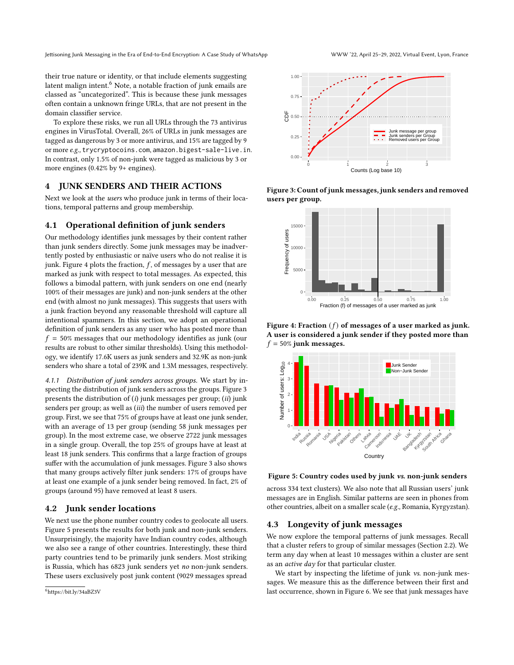their true nature or identity, or that include elements suggesting latent malign intent.<sup>[6](#page-4-1)</sup> Note, a notable fraction of junk emails are classed as "uncategorized". This is because these junk messages often contain a unknown fringe URLs, that are not present in the domain classifier service.

To explore these risks, we run all URLs through the 73 antivirus engines in VirusTotal. Overall, 26% of URLs in junk messages are tagged as dangerous by 3 or more antivirus, and 15% are tagged by 9 or more e.g., trycryptocoins.com, amazon.bigest-sale-live.in. In contrast, only 1.5% of non-junk were tagged as malicious by 3 or more engines (0.42% by 9+ engines).

#### <span id="page-4-0"></span>4 JUNK SENDERS AND THEIR ACTIONS

Next we look at the users who produce junk in terms of their locations, temporal patterns and group membership.

#### 4.1 Operational definition of junk senders

Our methodology identifies junk messages by their content rather than junk senders directly. Some junk messages may be inadvertently posted by enthusiastic or naïve users who do not realise it is junk. Figure [4](#page-4-2) plots the fraction,  $f$ , of messages by a user that are marked as junk with respect to total messages. As expected, this follows a bimodal pattern, with junk senders on one end (nearly 100% of their messages are junk) and non-junk senders at the other end (with almost no junk messages). This suggests that users with a junk fraction beyond any reasonable threshold will capture all intentional spammers. In this section, we adopt an operational definition of junk senders as any user who has posted more than  $f = 50\%$  messages that our methodology identifies as junk (our results are robust to other similar thresholds). Using this methodology, we identify 17.6K users as junk senders and 32.9K as non-junk senders who share a total of 239K and 1.3M messages, respectively.

4.1.1 Distribution of junk senders across groups. We start by inspecting the distribution of junk senders across the groups. Figure [3](#page-4-3) presents the distribution of  $(i)$  junk messages per group;  $(ii)$  junk senders per group; as well as (iii) the number of users removed per group. First, we see that 75% of groups have at least one junk sender, with an average of 13 per group (sending 58 junk messages per group). In the most extreme case, we observe 2722 junk messages in a single group. Overall, the top 25% of groups have at least at least 18 junk senders. This confirms that a large fraction of groups suffer with the accumulation of junk messages. Figure [3](#page-4-3) also shows that many groups actively filter junk senders: 17% of groups have at least one example of a junk sender being removed. In fact, 2% of groups (around 95) have removed at least 8 users.

#### 4.2 Junk sender locations

We next use the phone number country codes to geolocate all users. Figure [5](#page-4-4) presents the results for both junk and non-junk senders. Unsurprisingly, the majority have Indian country codes, although we also see a range of other countries. Interestingly, these third party countries tend to be primarily junk senders. Most striking is Russia, which has 6823 junk senders yet no non-junk senders. These users exclusively post junk content (9029 messages spread

<span id="page-4-1"></span>

<span id="page-4-3"></span>

Figure 3: Count of junk messages, junk senders and removed users per group.

<span id="page-4-2"></span>

Figure 4: Fraction  $(f)$  of messages of a user marked as junk. A user is considered a junk sender if they posted more than  $f = 50\%$  junk messages.

<span id="page-4-4"></span>

Figure 5: Country codes used by junk vs. non-junk senders

across 334 text clusters). We also note that all Russian users' junk messages are in English. Similar patterns are seen in phones from other countries, albeit on a smaller scale (e.g., Romania, Kyrgyzstan).

#### 4.3 Longevity of junk messages

We now explore the temporal patterns of junk messages. Recall that a cluster refers to group of similar messages (Section [2.2\)](#page-1-4). We term any day when at least 10 messages within a cluster are sent as an active day for that particular cluster.

We start by inspecting the lifetime of junk vs. non-junk messages. We measure this as the difference between their first and last occurrence, shown in Figure [6.](#page-5-0) We see that junk messages have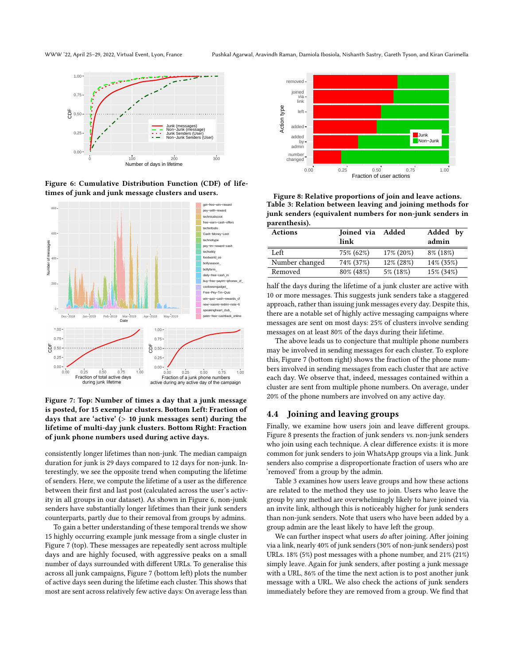<span id="page-5-0"></span>



Figure 6: Cumulative Distribution Function (CDF) of lifetimes of junk and junk message clusters and users.

<span id="page-5-1"></span>

Figure 7: Top: Number of times a day that a junk message is posted, for 15 exemplar clusters. Bottom Left: Fraction of days that are 'active' (> 10 junk messages sent) during the lifetime of multi-day junk clusters. Bottom Right: Fraction of junk phone numbers used during active days.

consistently longer lifetimes than non-junk. The median campaign duration for junk is 29 days compared to 12 days for non-junk. Interestingly, we see the opposite trend when computing the lifetime of senders. Here, we compute the lifetime of a user as the difference between their first and last post (calculated across the user's activity in all groups in our dataset). As shown in Figure [6,](#page-5-0) non-junk senders have substantially longer lifetimes than their junk senders counterparts, partly due to their removal from groups by admins.

To gain a better understanding of these temporal trends we show 15 highly occurring example junk message from a single cluster in Figure [7](#page-5-1) (top). These messages are repeatedly sent across multiple days and are highly focused, with aggressive peaks on a small number of days surrounded with different URLs. To generalise this across all junk campaigns, Figure [7](#page-5-1) (bottom left) plots the number of active days seen during the lifetime each cluster. This shows that most are sent across relatively few active days: On average less than

<span id="page-5-2"></span>

<span id="page-5-3"></span>Figure 8: Relative proportions of join and leave actions. Table 3: Relation between leaving and joining methods for junk senders (equivalent numbers for non-junk senders in parenthesis).

| <b>Actions</b> | Joined via Added |           | Added by  |
|----------------|------------------|-----------|-----------|
|                | link             |           | admin     |
| Left           | 75% (62%)        | 17% (20%) | 8% (18%)  |
| Number changed | 74% (37%)        | 12% (28%) | 14% (35%) |
| Removed        | 80% (48%)        | 5% (18%)  | 15% (34%) |

half the days during the lifetime of a junk cluster are active with 10 or more messages. This suggests junk senders take a staggered approach, rather than issuing junk messages every day. Despite this, there are a notable set of highly active messaging campaigns where messages are sent on most days: 25% of clusters involve sending messages on at least 80% of the days during their lifetime.

The above leads us to conjecture that multiple phone numbers may be involved in sending messages for each cluster. To explore this, Figure [7](#page-5-1) (bottom right) shows the fraction of the phone numbers involved in sending messages from each cluster that are active each day. We observe that, indeed, messages contained within a cluster are sent from multiple phone numbers. On average, under 20% of the phone numbers are involved on any active day.

#### 4.4 Joining and leaving groups

Finally, we examine how users join and leave different groups. Figure [8](#page-5-2) presents the fraction of junk senders vs. non-junk senders who join using each technique. A clear difference exists: it is more common for junk senders to join WhatsApp groups via a link. Junk senders also comprise a disproportionate fraction of users who are 'removed' from a group by the admin.

Table [3](#page-5-3) examines how users leave groups and how these actions are related to the method they use to join. Users who leave the group by any method are overwhelmingly likely to have joined via an invite link, although this is noticeably higher for junk senders than non-junk senders. Note that users who have been added by a group admin are the least likely to have left the group.

We can further inspect what users do after joining. After joining via a link, nearly 40% of junk senders (30% of non-junk senders) post URLs. 18% (5%) post messages with a phone number, and 21% (21%) simply leave. Again for junk senders, after posting a junk message with a URL, 86% of the time the next action is to post another junk message with a URL. We also check the actions of junk senders immediately before they are removed from a group. We find that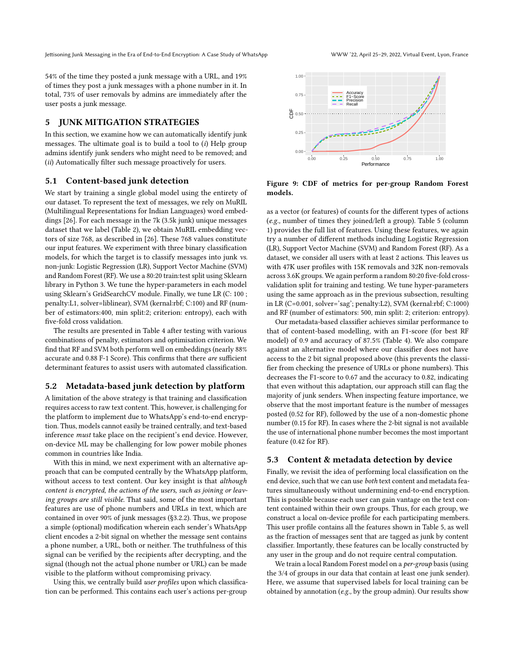54% of the time they posted a junk message with a URL, and 19% of times they post a junk messages with a phone number in it. In total, 73% of user removals by admins are immediately after the user posts a junk message.

#### <span id="page-6-0"></span>5 JUNK MITIGATION STRATEGIES

In this section, we examine how we can automatically identify junk messages. The ultimate goal is to build a tool to  $(i)$  Help group admins identify junk senders who might need to be removed; and (ii) Automatically filter such message proactively for users.

#### 5.1 Content-based junk detection

We start by training a single global model using the entirety of our dataset. To represent the text of messages, we rely on MuRIL (Multilingual Representations for Indian Languages) word embeddings [\[26\]](#page-8-17). For each message in the 7k (3.5k junk) unique messages dataset that we label (Table [2\)](#page-2-2), we obtain MuRIL embedding vectors of size 768, as described in [\[26\]](#page-8-17). These 768 values constitute our input features. We experiment with three binary classification models, for which the target is to classify messages into junk vs. non-junk: Logistic Regression (LR), Support Vector Machine (SVM) and Random Forest (RF). We use a 80:20 train:test split using Sklearn library in Python 3. We tune the hyper-parameters in each model using Sklearn's GridSearchCV module. Finally, we tune LR (C: 100 ; penalty:L1, solver=liblinear), SVM (kernal:rbf; C:100) and RF (number of estimators:400, min split:2; criterion: entropy), each with five-fold cross validation.

The results are presented in Table [4](#page-7-0) after testing with various combinations of penalty, estimators and optimisation criterion. We find that RF and SVM both perform well on embeddings (nearly 88% accurate and 0.88 F-1 Score). This confirms that there are sufficient determinant features to assist users with automated classification.

#### <span id="page-6-2"></span>5.2 Metadata-based junk detection by platform

A limitation of the above strategy is that training and classification requires access to raw text content. This, however, is challenging for the platform to implement due to WhatsApp's end-to-end encryption. Thus, models cannot easily be trained centrally, and text-based inference must take place on the recipient's end device. However, on-device ML may be challenging for low power mobile phones common in countries like India.

With this in mind, we next experiment with an alternative approach that can be computed centrally by the WhatsApp platform, without access to text content. Our key insight is that although content is encrypted, the actions of the users, such as joining or leaving groups are still visible. That said, some of the most important features are use of phone numbers and URLs in text, which are contained in over 90% of junk messages ([§3.2.2\)](#page-3-0). Thus, we propose a simple (optional) modification wherein each sender's WhatsApp client encodes a 2-bit signal on whether the message sent contains a phone number, a URL, both or neither. The truthfulness of this signal can be verified by the recipients after decrypting, and the signal (though not the actual phone number or URL) can be made visible to the platform without compromising privacy.

Using this, we centrally build user profiles upon which classification can be performed. This contains each user's actions per-group

<span id="page-6-1"></span>

Figure 9: CDF of metrics for per-group Random Forest models.

as a vector (or features) of counts for the different types of actions (e.g., number of times they joined/left a group). Table [5](#page-9-1) (column 1) provides the full list of features. Using these features, we again try a number of different methods including Logistic Regression (LR), Support Vector Machine (SVM) and Random Forest (RF). As a dataset, we consider all users with at least 2 actions. This leaves us with 47K user profiles with 15K removals and 32K non-removals across 3.6K groups. We again perform a random 80:20 five-fold crossvalidation split for training and testing. We tune hyper-parameters using the same approach as in the previous subsection, resulting in LR (C=0.001, solver='sag'; penalty:L2), SVM (kernal:rbf; C:1000) and RF (number of estimators: 500, min split: 2; criterion: entropy).

Our metadata-based classifier achieves similar performance to that of content-based modelling, with an F1-score (for best RF model) of 0.9 and accuracy of 87.5% (Table [4\)](#page-7-0). We also compare against an alternative model where our classifier does not have access to the 2 bit signal proposed above (this prevents the classifier from checking the presence of URLs or phone numbers). This decreases the F1-score to 0.67 and the accuracy to 0.82, indicating that even without this adaptation, our approach still can flag the majority of junk senders. When inspecting feature importance, we observe that the most important feature is the number of messages posted (0.52 for RF), followed by the use of a non-domestic phone number (0.15 for RF). In cases where the 2-bit signal is not available the use of international phone number becomes the most important feature (0.42 for RF).

#### 5.3 Content & metadata detection by device

Finally, we revisit the idea of performing local classification on the end device, such that we can use both text content and metadata features simultaneously without undermining end-to-end encryption. This is possible because each user can gain vantage on the text content contained within their own groups. Thus, for each group, we construct a local on-device profile for each participating members. This user profile contains all the features shown in Table [5,](#page-9-1) as well as the fraction of messages sent that are tagged as junk by content classifier. Importantly, these features can be locally constructed by any user in the group and do not require central computation.

We train a local Random Forest model on a *per-group* basis (using the 3/4 of groups in our data that contain at least one junk sender). Here, we assume that supervised labels for local training can be obtained by annotation (e.g., by the group admin). Our results show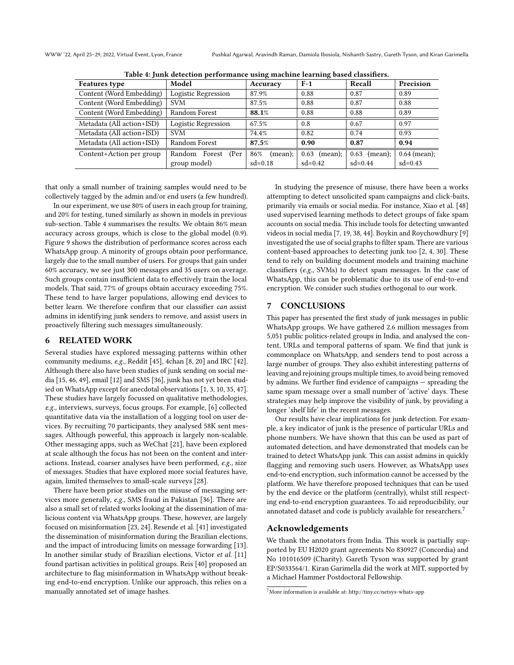<span id="page-7-0"></span>

| Table 1. Julin ucteenbil performance asing machine learning based classifiers. |                     |                   |                |                |                |
|--------------------------------------------------------------------------------|---------------------|-------------------|----------------|----------------|----------------|
| <b>Features type</b>                                                           | Model               | Accuracy          | $F-1$          | Recall         | Precision      |
| Content (Word Embedding)                                                       | Logistic Regression | 87.9%             | 0.88           | 0.87           | 0.89           |
| Content (Word Embedding)                                                       | <b>SVM</b>          | 87.5%             | 0.88           | 0.87           | 0.88           |
| Content (Word Embedding)                                                       | Random Forest       | 88.1%             | 0.88           | 0.88           | 0.89           |
| Metadata (All action+ISD)                                                      | Logistic Regression | 67.5%             | 0.8            | 0.67           | 0.97           |
| Metadata (All action+ISD)                                                      | <b>SVM</b>          | 74.4%             | 0.82           | 0.74           | 0.93           |
| Metadata (All action+ISD)                                                      | Random Forest       | 87.5%             | 0.90           | 0.87           | 0.94           |
| Content+Action per group                                                       | Random Forest (Per  | 86%<br>$(mean)$ : | $0.63$ (mean); | $0.63$ (mean); | $0.64$ (mean); |
|                                                                                | group model)        | $sd = 0.18$       | $sd = 0.42$    | $sd = 0.44$    | $sd = 0.43$    |

Table 4: Junk detection performance using machine learning based classifiers.

that only a small number of training samples would need to be collectively tagged by the admin and/or end users (a few hundred).

In our experiment, we use 80% of users in each group for training, and 20% for testing, tuned similarly as shown in models in previous sub-section. Table [4](#page-7-0) summarises the results. We obtain 86% mean accuracy across groups, which is close to the global model (0.9). Figure [9](#page-6-1) shows the distribution of performance scores across each WhatsApp group. A minority of groups obtain poor performance, largely due to the small number of users. For groups that gain under 60% accuracy, we see just 300 messages and 35 users on average. Such groups contain insufficient data to effectively train the local models. That said, 77% of groups obtain accuracy exceeding 75%. These tend to have larger populations, allowing end devices to better learn. We therefore confirm that our classifier can assist admins in identifying junk senders to remove, and assist users in proactively filtering such messages simultaneously.

#### 6 RELATED WORK

Several studies have explored messaging patterns within other community mediums, e.g., Reddit [\[45\]](#page-8-18), 4chan [\[8,](#page-8-19) [20\]](#page-8-20) and IRC [\[42\]](#page-8-21). Although there also have been studies of junk sending on social media [\[15,](#page-8-22) [46,](#page-8-23) [49\]](#page-8-24), email [\[12\]](#page-8-25) and SMS [\[36\]](#page-8-26), junk has not yet been studied on WhatsApp except for anecdotal observations [\[1,](#page-8-27) [3,](#page-8-28) [10,](#page-8-29) [35,](#page-8-30) [47\]](#page-8-31). These studies have largely focussed on qualitative methodologies, e.g., interviews, surveys, focus groups. For example, [\[6\]](#page-8-32) collected quantitative data via the installation of a logging tool on user devices. By recruiting 70 participants, they analysed 58K sent messages. Although powerful, this approach is largely non-scalable. Other messaging apps, such as WeChat [\[21\]](#page-8-33), have been explored at scale although the focus has not been on the content and interactions. Instead, coarser analyses have been performed, e.g., size of messages. Studies that have explored more social features have, again, limited themselves to small-scale surveys [\[28\]](#page-8-34).

There have been prior studies on the misuse of messaging services more generally, e.g., SMS fraud in Pakistan [\[36\]](#page-8-26). There are also a small set of related works looking at the dissemination of malicious content via WhatsApp groups. These, however, are largely focused on misinformation [\[23,](#page-8-35) [24\]](#page-8-36). Resende et al. [\[41\]](#page-8-37) investigated the dissemination of misinformation during the Brazilian elections, and the impact of introducing limits on message forwarding [\[13\]](#page-8-38). In another similar study of Brazilian elections, Victor et al. [\[11\]](#page-8-39) found partisan activities in political groups. Reis [\[40\]](#page-8-8) proposed an architecture to flag misinformation in WhatsApp without breaking end-to-end encryption. Unlike our approach, this relies on a manually annotated set of image hashes.

In studying the presence of misuse, there have been a works attempting to detect unsolicited spam campaigns and click-baits, primarily via emails or social media. For instance, Xiao et al. [\[48\]](#page-8-40) used supervised learning methods to detect groups of fake spam accounts on social media. This include tools for detecting unwanted videos in social media [\[7,](#page-8-41) [19,](#page-8-42) [38,](#page-8-43) [44\]](#page-8-44). Boykin and Roychowdhury [\[9\]](#page-8-45) investigated the use of social graphs to filter spam. There are various content-based approaches to detecting junk too [\[2,](#page-8-46) [4,](#page-8-47) [30\]](#page-8-48). These tend to rely on building document models and training machine classifiers (e.g., SVMs) to detect spam messages. In the case of WhatsApp, this can be problematic due to its use of end-to-end encryption. We consider such studies orthogonal to our work.

#### 7 CONCLUSIONS

This paper has presented the first study of junk messages in public WhatsApp groups. We have gathered 2.6 million messages from 5,051 public politics-related groups in India, and analysed the content, URLs and temporal patterns of spam. We find that junk is commonplace on WhatsApp, and senders tend to post across a large number of groups. They also exhibit interesting patterns of leaving and rejoining groups multiple times, to avoid being removed by admins. We further find evidence of campaigns — spreading the same spam message over a small number of 'active' days. These strategies may help improve the visibility of junk, by providing a longer 'shelf life' in the recent messages.

Our results have clear implications for junk detection. For example, a key indicator of junk is the presence of particular URLs and phone numbers. We have shown that this can be used as part of automated detection, and have demonstrated that models can be trained to detect WhatsApp junk. This can assist admins in quickly flagging and removing such users. However, as WhatsApp uses end-to-end encryption, such information cannot be accessed by the platform. We have therefore proposed techniques that can be used by the end device or the platform (centrally), whilst still respecting end-to-end encryption guarantees. To aid reproducibility, our annotated dataset and code is publicly available for researchers.<sup>[7](#page-7-1)</sup>

#### Acknowledgements

We thank the annotators from India. This work is partially supported by EU H2020 grant agreements No 830927 (Concordia) and No 101016509 (Charity). Gareth Tyson was supported by grant EP/S033564/1. Kiran Garimella did the work at MIT, supported by a Michael Hammer Postdoctoral Fellowship.

<span id="page-7-1"></span><sup>7</sup>More information is available at:<http://tiny.cc/netsys-whats-app>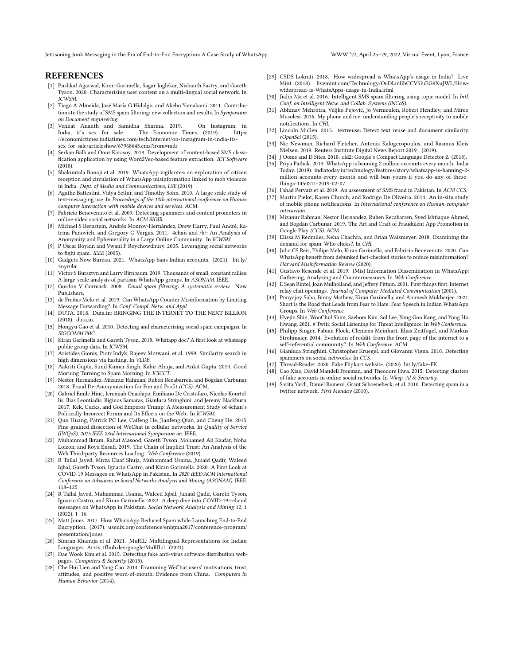Jettisoning Junk Messaging in the Era of End-to-End Encryption: A Case Study of WhatsApp WWW '22, April 25–29, 2022, Virtual Event, Lyon, France

#### REFERENCES

- <span id="page-8-27"></span>[1] Pushkal Agarwal, Kiran Garimella, Sagar Joglekar, Nishanth Sastry, and Gareth Tyson. 2020. Characterising user content on a multi-lingual social network. In ICWSM.
- <span id="page-8-46"></span>[2] Tiago A Almeida, José María G Hidalgo, and Akebo Yamakami. 2011. Contributions to the study of SMS spam filtering: new collection and results. In Symposium on Document engineering.
- <span id="page-8-28"></span>[3] Venkat Ananth and Samidha Sharma. 2019. On Instagram, in The Economic Times. (2019). [//economictimes.indiatimes.com/tech/internet/on-instagram-in-india-its](https://economictimes.indiatimes.com/tech/internet/on-instagram-in-india-its-sex-for-sale/articleshow/67968645.cms?from=mdr)[sex-for-sale/articleshow/67968645.cms?from=mdr](https://economictimes.indiatimes.com/tech/internet/on-instagram-in-india-its-sex-for-sale/articleshow/67968645.cms?from=mdr)
- <span id="page-8-47"></span>[4] Serkan Ballı and Onur Karasoy. 2018. Development of content-based SMS classification application by using Word2Vec-based feature extraction. IET Software (2018).
- <span id="page-8-9"></span>[5] Shakuntala Banaji et al. 2019. WhatsApp vigilantes: an exploration of citizen reception and circulation of WhatsApp misinformation linked to mob violence in India. Dept. of Media and Communications, LSE (2019).
- <span id="page-8-32"></span>[6] Agathe Battestini, Vidya Setlur, and Timothy Sohn. 2010. A large scale study of text-messaging use. In Proceedings of the 12th international conference on Human computer interaction with mobile devices and services. ACM.
- <span id="page-8-41"></span>[7] Fabrício Benevenuto et al. 2009. Detecting spammers and content promoters in online video social networks. In ACM SIGIR.
- <span id="page-8-19"></span>[8] Michael S Bernstein, Andrés Monroy-Hernández, Drew Harry, Paul André, Katrina Panovich, and Gregory G Vargas. 2011. 4chan and /b/: An Analysis of Anonymity and Ephemerality in a Large Online Community.. In ICWSM.
- <span id="page-8-45"></span>[9] P Oscar Boykin and Vwani P Roychowdhury. 2005. Leveraging social networks to fight spam. IEEE (2005).
- <span id="page-8-29"></span>[10] Gadgets Now Bureau. 2021. WhatsApp bans Indian accounts. (2021). [bit.ly/](bit.ly/3nyr0br) [3nyr0br.](bit.ly/3nyr0br)
- <span id="page-8-39"></span>[11] Victor S Bursztyn and Larry Birnbaum. 2019. Thousands of small, constant rallies: A large-scale analysis of partisan WhatsApp groups. In ASONAM. IEEE.
- <span id="page-8-25"></span>[12] Gordon V Cormack. 2008. Email spam filtering: A systematic review. Now Publishers.
- <span id="page-8-38"></span>[13] de Freitas Melo et al. 2019. Can WhatsApp Counter Misinformation by Limiting Message Forwarding?. In Conf. Compl. Netw. and Appl.
- <span id="page-8-13"></span>[14] DUTA. 2018. Duta.in: BRINGING THE INTERNET TO THE NEXT BILLION. (2018). [duta.in.](duta.in)
- <span id="page-8-22"></span>[15] Hongyu Gao et al. 2010. Detecting and characterizing social spam campaigns. In SIGCOMM IMC.
- <span id="page-8-1"></span>[16] Kiran Garimella and Gareth Tyson. 2018. Whatapp doc? A first look at whatsapp public group data. In ICWSM.
- <span id="page-8-11"></span>[17] Aristides Gionis, Piotr Indyk, Rajeev Motwani, et al. 1999. Similarity search in high dimensions via hashing. In VLDB.
- <span id="page-8-10"></span>[18] Aakriti Gupta, Sunil Kumar Singh, Kabir Ahuja, and Ankit Gupta. 2019. Good Morning Turning to Spam Morning. In ICICCT.
- <span id="page-8-42"></span>[19] Nestor Hernandez, Mizanur Rahman, Ruben Recabarren, and Bogdan Carbunar. 2018. Fraud De-Anonymization for Fun and Profit (CCS). ACM.
- <span id="page-8-20"></span>[20] Gabriel Emile Hine, Jeremiah Onaolapo, Emiliano De Cristofaro, Nicolas Kourtellis, Ilias Leontiadis, Riginos Samaras, Gianluca Stringhini, and Jeremy Blackburn. 2017. Kek, Cucks, and God Emperor Trump: A Measurement Study of 4chan's Politically Incorrect Forum and Its Effects on the Web.. In ICWSM.
- <span id="page-8-33"></span>[21] Qun Huang, Patrick PC Lee, Caifeng He, Jianfeng Qian, and Cheng He. 2015. Fine-grained dissection of WeChat in cellular networks. In Quality of Service (IWQoS), 2015 IEEE 23rd International Symposium on. IEEE.
- <span id="page-8-15"></span>[22] Muhammad Ikram, Rahat Masood, Gareth Tyson, Mohamed Ali Kaafar, Noha Loizon, and Roya Ensafi. 2019. The Chain of Implicit Trust: An Analysis of the Web Third-party Resources Loading. Web Conference (2019).
- <span id="page-8-35"></span>[23] R Tallal Javed, Mirza Elaaf Shuja, Muhammad Usama, Junaid Qadir, Waleed Iqbal, Gareth Tyson, Ignacio Castro, and Kiran Garimella. 2020. A First Look at COVID-19 Messages on WhatsApp in Pakistan. In 2020 IEEE/ACM International Conference on Advances in Social Networks Analysis and Mining (ASONAM). IEEE, 118–125.
- <span id="page-8-36"></span>[24] R Tallal Javed, Muhammad Usama, Waleed Iqbal, Junaid Qadir, Gareth Tyson, Ignacio Castro, and Kiran Garimella. 2022. A deep dive into COVID-19-related messages on WhatsApp in Pakistan. Social Network Analysis and Mining 12, 1  $(2022), 1-16.$
- <span id="page-8-0"></span>[25] Matt Jones. 2017. How WhatsApp Reduced Spam while Launching End-to-End Encryption. (2017). [usenix.org/conference/enigma2017/conference-program/](usenix.org/conference/enigma2017/conference-program/presentation/jones) [presentation/jones](usenix.org/conference/enigma2017/conference-program/presentation/jones)
- <span id="page-8-17"></span>[26] Simran Khanuja et al. 2021. MuRIL: Multilingual Representations for Indian Languages. Arxiv, tfhub.dev/google/MuRIL/1. (2021).
- <span id="page-8-16"></span>[27] Dae Wook Kim et al. 2015. Detecting fake anti-virus software distribution webpages. Computers & Security (2015).
- <span id="page-8-34"></span>[28] Che Hui Lien and Yang Cao. 2014. Examining WeChat users' motivations, trust, attitudes, and positive word-of-mouth: Evidence from China. Computers in Human Behavior (2014).
- <span id="page-8-5"></span>[29] CSDS Lokniti. 2018. How widespread is WhatsApp's usage in India? Live Mint. (2018). [livemint.com/Technology/O6DLmIibCCV5luEG9XuJWL/How](livemint.com/Technology/O6DLmIibCCV5luEG9XuJWL/How-widespread-is-WhatsApps-usage-in-India.html)[widespread-is-WhatsApps-usage-in-India.html](livemint.com/Technology/O6DLmIibCCV5luEG9XuJWL/How-widespread-is-WhatsApps-usage-in-India.html)
- <span id="page-8-48"></span>[30] Jialin Ma et al. 2016. Intelligent SMS spam filtering using topic model. In Intl. Conf. on Intelligent Netw. and Collab. Systems (INCoS).
- <span id="page-8-2"></span>[31] Abhinav Mehrotra, Veljko Pejovic, Jo Vermeulen, Robert Hendley, and Mirco Musolesi. 2016. My phone and me: understanding people's receptivity to mobile notifications. In CHI.
- <span id="page-8-12"></span>[32] Lincoln Mullen. 2015. textreuse: Detect text reuse and document similarity. rOpenSci (2015).
- <span id="page-8-7"></span>[33] Nic Newman, Richard Fletcher, Antonis Kalogeropoulos, and Rasmus Kleis Nielsen. 2019. Reuters Institute Digital News Report 2019 . (2019).
- <span id="page-8-30"></span><span id="page-8-14"></span>[34] J Ooms and D Sites. 2018. cld2: Google's Compact Language Detector 2. (2018). [35] Priya Pathak. 2019. WhatsApp is banning 2 million accounts every month. India Today. (2019). [indiatoday.in/technology/features/story/whatsapp-is-banning-2](indiatoday.in/technology/features/story/whatsapp-is-banning-2-million-accounts-every-month-and-will-ban-yours-if-you-do-any-of-these-things-1450211-2019-02-07) [million-accounts-every-month-and-will-ban-yours-if-you-do-any-of-these](indiatoday.in/technology/features/story/whatsapp-is-banning-2-million-accounts-every-month-and-will-ban-yours-if-you-do-any-of-these-things-1450211-2019-02-07)[things-1450211-2019-02-07](indiatoday.in/technology/features/story/whatsapp-is-banning-2-million-accounts-every-month-and-will-ban-yours-if-you-do-any-of-these-things-1450211-2019-02-07)
- <span id="page-8-26"></span>[36] Fahad Pervaiz et al. 2019. An assessment of SMS fraud in Pakistan. In *ACM CCS*.<br>[37] Martin Pielot. Karen Church. and Rodrigo De Oliveira. 2014. An in-situ study
- <span id="page-8-3"></span>Martin Pielot, Karen Church, and Rodrigo De Oliveira. 2014. An in-situ study of mobile phone notifications. In International conference on Human-computer interaction.
- <span id="page-8-43"></span>[38] Mizanur Rahman, Nestor Hernandez, Ruben Recabarren, Syed Ishtiaque Ahmed, and Bogdan Carbunar. 2019. The Art and Craft of Fraudulent App Promotion in Google Play (CCS). ACM.
- <span id="page-8-4"></span>[39] Elissa M Redmiles, Neha Chachra, and Brian Waismeyer. 2018. Examining the demand for spam: Who clicks?. In CHI.
- <span id="page-8-8"></span>[40] Julio CS Reis, Philipe Melo, Kiran Garimella, and Fabrício Benevenuto. 2020. Can WhatsApp benefit from debunked fact-checked stories to reduce misinformation? Harvard Misinformation Review (2020).
- <span id="page-8-37"></span>[41] Gustavo Resende et al. 2019. (Mis) Information Dissemination in WhatsApp: Gathering, Analyzing and Countermeasures. In Web Conference.
- <span id="page-8-21"></span>[42] E Sean Rintel, Joan Mulholland, and Jeffery Pittam. 2001. First things first: Internet relay chat openings. Journal of Computer-Mediated Communication (2001).
- <span id="page-8-6"></span>[43] Punyajoy Saha, Binny Mathew, Kiran Garimella, and Animesh Mukherjee. 2021. Short is the Road that Leads from Fear to Hate: Fear Speech in Indian WhatsApp Groups. In Web Conference.
- <span id="page-8-44"></span>[44] Hyejin Shin, WooChul Shim, Saebom Kim, Sol Lee, Yong Goo Kang, and Yong Ho Hwang. 2021. # Twiti: Social Listening for Threat Intelligence. In Web Conference.
- <span id="page-8-18"></span>[45] Philipp Singer, Fabian Flöck, Clemens Meinhart, Elias Zeitfogel, and Markus Strohmaier. 2014. Evolution of reddit: from the front page of the internet to a self-referential community?. In Web Conference. ACM.
- <span id="page-8-23"></span>[46] Gianluca Stringhini, Christopher Kruegel, and Giovanni Vigna. 2010. Detecting spammers on social networks. In CCS.
- <span id="page-8-31"></span>[47] Thread-Reader. 2020. Fake Flipkart website. (2020).<bit.ly/fake-FK>
- <span id="page-8-40"></span>[48] Cao Xiao, David Mandell Freeman, and Theodore Hwa. 2015. Detecting clusters of fake accounts in online social networks. In Wksp. AI & Security.
- <span id="page-8-24"></span>[49] Sarita Yardi, Daniel Romero, Grant Schoenebeck, et al. 2010. Detecting spam in a twitter network. First Monday (2010).